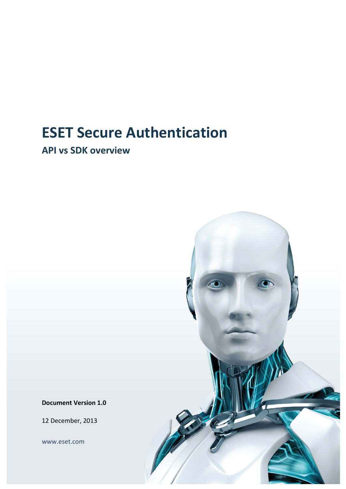## **ESET Secure Authentication**

**API vs SDK overview**



**Document Version 1.0**

12 December, 2013

www.eset.com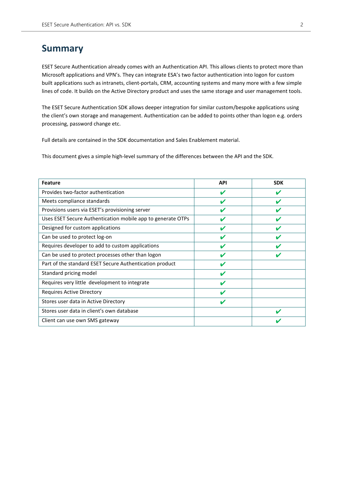## **Summary**

ESET Secure Authentication already comes with an Authentication API. This allows clients to protect more than Microsoft applications and VPN's. They can integrate ESA's two factor authentication into logon for custom built applications such as intranets, client-portals, CRM, accounting systems and many more with a few simple lines of code. It builds on the Active Directory product and uses the same storage and user management tools.

The ESET Secure Authentication SDK allows deeper integration for similar custom/bespoke applications using the client's own storage and management. Authentication can be added to points other than logon e.g. orders processing, password change etc.

Full details are contained in the SDK documentation and Sales Enablement material.

This document gives a simple high-level summary of the differences between the API and the SDK.

| <b>Feature</b>                                              | <b>API</b> | <b>SDK</b> |
|-------------------------------------------------------------|------------|------------|
| Provides two-factor authentication                          | v          |            |
| Meets compliance standards                                  |            |            |
| Provisions users via ESET's provisioning server             |            |            |
| Uses ESET Secure Authentication mobile app to generate OTPs |            |            |
| Designed for custom applications                            |            |            |
| Can be used to protect log-on                               |            |            |
| Requires developer to add to custom applications            |            |            |
| Can be used to protect processes other than logon           |            |            |
| Part of the standard ESET Secure Authentication product     |            |            |
| Standard pricing model                                      |            |            |
| Requires very little development to integrate               | V          |            |
| Requires Active Directory                                   |            |            |
| Stores user data in Active Directory                        | v          |            |
| Stores user data in client's own database                   |            |            |
| Client can use own SMS gateway                              |            |            |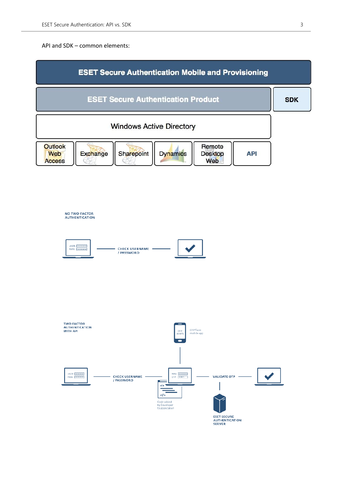API and SDK – common elements: